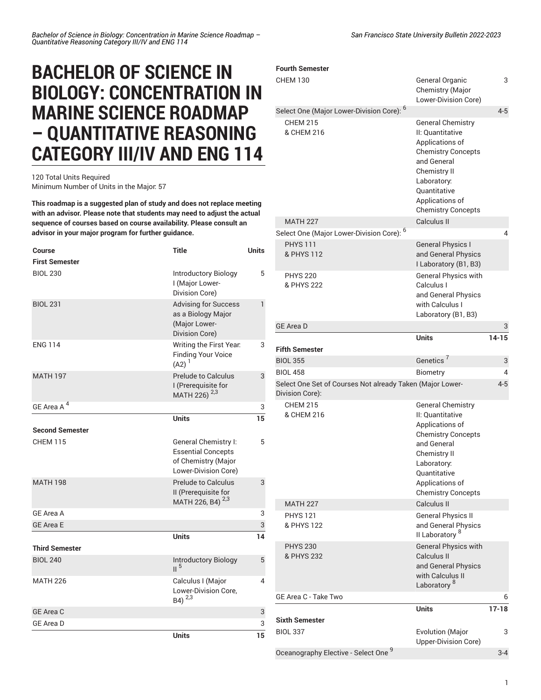## **BACHELOR OF SCIENCE IN BIOLOGY: CONCENTRATION IN MARINE SCIENCE ROADMAP – QUANTITATIVE REASONING CATEGORY III/IV AND ENG 114**

120 Total Units Required Minimum Number of Units in the Major: 57

**This roadmap is a suggested plan of study and does not replace meeting with an advisor. Please note that students may need to adjust the actual sequence of courses based on course availability. Please consult an advisor in your major program for further guidance.**

| <b>Course</b>          | <b>Title</b>                                                                                     | <b>Units</b> |
|------------------------|--------------------------------------------------------------------------------------------------|--------------|
| <b>First Semester</b>  |                                                                                                  |              |
| <b>BIOL 230</b>        | Introductory Biology<br>I (Major Lower-<br>Division Core)                                        | 5            |
| <b>BIOL 231</b>        | <b>Advising for Success</b><br>as a Biology Major<br>(Major Lower-<br>Division Core)             | 1            |
| <b>ENG 114</b>         | Writing the First Year.<br><b>Finding Your Voice</b><br>$(A2)^{1}$                               | 3            |
| <b>MATH 197</b>        | <b>Prelude to Calculus</b><br>I (Prerequisite for<br>MATH 226) <sup>2,3</sup>                    | 3            |
| GE Area A <sup>4</sup> |                                                                                                  | 3            |
|                        | <b>Units</b>                                                                                     | 15           |
| <b>Second Semester</b> |                                                                                                  |              |
| <b>CHEM 115</b>        | General Chemistry I:<br><b>Essential Concepts</b><br>of Chemistry (Major<br>Lower-Division Core) | 5            |
| <b>MATH 198</b>        | <b>Prelude to Calculus</b><br>II (Prerequisite for<br>MATH 226, B4) <sup>2,3</sup>               | 3            |
| GE Area A              |                                                                                                  | 3            |
| <b>GE Area E</b>       |                                                                                                  | 3            |
|                        | <b>Units</b>                                                                                     | 14           |
| <b>Third Semester</b>  |                                                                                                  |              |
| <b>BIOL 240</b>        | <b>Introductory Biology</b><br>II <sup>5</sup>                                                   | 5            |
| <b>MATH 226</b>        | Calculus I (Major<br>Lower-Division Core,<br>B4) 2,3                                             | 4            |
| <b>GE Area C</b>       |                                                                                                  | 3            |
| <b>GE Area D</b>       |                                                                                                  | 3            |
|                        | <b>Units</b>                                                                                     | 15           |

| <b>CHEM 130</b>                                                              | General Organic<br>Chemistry (Major<br>Lower-Division Core)                                                                                                                                                | 3         |
|------------------------------------------------------------------------------|------------------------------------------------------------------------------------------------------------------------------------------------------------------------------------------------------------|-----------|
| Select One (Major Lower-Division Core): 6                                    |                                                                                                                                                                                                            | $4 - 5$   |
| <b>CHEM 215</b><br>& CHEM 216                                                | <b>General Chemistry</b><br>II: Quantitative<br>Applications of<br><b>Chemistry Concepts</b><br>and General<br>Chemistry II<br>Laboratory:<br>Quantitative<br>Applications of<br><b>Chemistry Concepts</b> |           |
| <b>MATH 227</b>                                                              | Calculus II                                                                                                                                                                                                |           |
| Select One (Major Lower-Division Core): 6                                    |                                                                                                                                                                                                            | 4         |
| <b>PHYS 111</b><br>& PHYS 112<br><b>PHYS 220</b><br>& PHYS 222               | <b>General Physics I</b><br>and General Physics<br>I Laboratory (B1, B3)<br><b>General Physics with</b><br>Calculus I<br>and General Physics                                                               |           |
|                                                                              | with Calculus I                                                                                                                                                                                            |           |
|                                                                              | Laboratory (B1, B3)                                                                                                                                                                                        |           |
| <b>GE Area D</b>                                                             |                                                                                                                                                                                                            | 3         |
|                                                                              | <b>Units</b>                                                                                                                                                                                               | $14 - 15$ |
| <b>Fifth Semester</b>                                                        |                                                                                                                                                                                                            |           |
| <b>BIOL 355</b>                                                              | Genetics <sup>7</sup>                                                                                                                                                                                      | 3         |
| <b>BIOL 458</b>                                                              | Biometry                                                                                                                                                                                                   | 4         |
| Select One Set of Courses Not already Taken (Major Lower-<br>Division Core): |                                                                                                                                                                                                            | $4 - 5$   |
|                                                                              |                                                                                                                                                                                                            |           |
| <b>CHEM 215</b><br>& CHEM 216                                                | <b>General Chemistry</b><br>II: Quantitative<br>Applications of<br><b>Chemistry Concepts</b><br>and General<br>Chemistry II<br>Laboratory:<br>Quantitative<br>Applications of<br><b>Chemistry Concepts</b> |           |
| <b>MATH 227</b>                                                              | Calculus II                                                                                                                                                                                                |           |
| <b>PHYS 121</b><br>& PHYS 122                                                | <b>General Physics II</b><br>and General Physics<br>II Laboratory <sup>8</sup>                                                                                                                             |           |
| <b>PHYS 230</b><br>& PHYS 232                                                | <b>General Physics with</b><br>Calculus II<br>and General Physics<br>with Calculus II<br>Laboratory <sup>8</sup>                                                                                           |           |
| GE Area C - Take Two                                                         |                                                                                                                                                                                                            | 6         |
|                                                                              | <b>Units</b>                                                                                                                                                                                               | $17 - 18$ |
| <b>Sixth Semester</b><br><b>BIOL 337</b>                                     | <b>Evolution (Major</b>                                                                                                                                                                                    | 3         |
| Oceanography Elective - Select One 9                                         | Upper-Division Core)                                                                                                                                                                                       | $3 - 4$   |